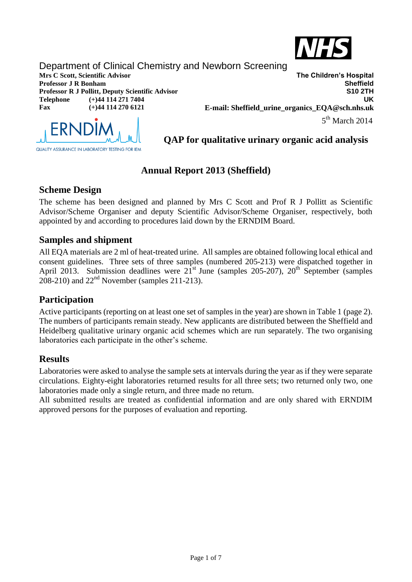

# Department of Clinical Chemistry and Newborn Screening

**Professor R J Pollitt, Deputy Scientific Advisor Telephone (+)44 114 271 7404 Fax (+)44 114 270 6121**

**Mrs C Scott, Scientific Advisor The Children's Hospital Professor J R Bonham Sheffield UK E-mail: Sheffield\_urine\_organics\_EQA@sch.nhs.uk**  $5<sup>th</sup>$  March 2014



**QAP for qualitative urinary organic acid analysis**

# **Annual Report 2013 (Sheffield)**

## **Scheme Design**

The scheme has been designed and planned by Mrs C Scott and Prof R J Pollitt as Scientific Advisor/Scheme Organiser and deputy Scientific Advisor/Scheme Organiser, respectively, both appointed by and according to procedures laid down by the ERNDIM Board.

### **Samples and shipment**

All EQA materials are 2 ml of heat-treated urine. All samples are obtained following local ethical and consent guidelines. Three sets of three samples (numbered 205-213) were dispatched together in April 2013. Submission deadlines were  $21^{\text{st}}$  June (samples 205-207),  $20^{\text{th}}$  September (samples  $208-210$ ) and  $22<sup>nd</sup>$  November (samples 211-213).

## **Participation**

Active participants (reporting on at least one set of samples in the year) are shown in Table 1 (page 2). The numbers of participants remain steady. New applicants are distributed between the Sheffield and Heidelberg qualitative urinary organic acid schemes which are run separately. The two organising laboratories each participate in the other's scheme.

## **Results**

Laboratories were asked to analyse the sample sets at intervals during the year as if they were separate circulations. Eighty-eight laboratories returned results for all three sets; two returned only two, one laboratories made only a single return, and three made no return.

All submitted results are treated as confidential information and are only shared with ERNDIM approved persons for the purposes of evaluation and reporting.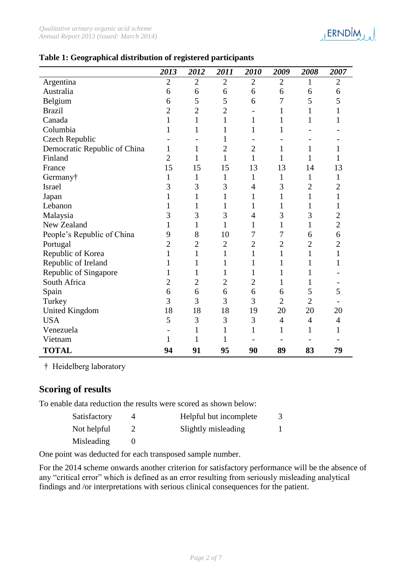

#### **Table 1: Geographical distribution of registered participants**

|                              | 2013           | 2012           | 2011           | 2010           | 2009           | 2008           | 2007           |
|------------------------------|----------------|----------------|----------------|----------------|----------------|----------------|----------------|
| Argentina                    | $\overline{2}$ | $\overline{2}$ | $\overline{2}$ | $\overline{2}$ | $\overline{2}$ | 1              | $\overline{2}$ |
| Australia                    | 6              | 6              | 6              | 6              | 6              | 6              | 6              |
| Belgium                      | 6              | 5              | 5              | 6              | $\overline{7}$ | 5              | 5              |
| <b>Brazil</b>                | $\overline{c}$ | $\overline{c}$ | $\overline{2}$ |                | $\mathbf{1}$   | 1              |                |
| Canada                       | 1              | $\mathbf{1}$   | 1              | $\mathbf{1}$   | 1              | 1              | 1              |
| Columbia                     |                | 1              |                | $\mathbf{1}$   | 1              |                |                |
| <b>Czech Republic</b>        |                |                | 1              |                |                |                |                |
| Democratic Republic of China | 1              | $\mathbf{1}$   | $\overline{2}$ | $\overline{2}$ | 1              | 1              | 1              |
| Finland                      | $\overline{2}$ | $\mathbf{1}$   | 1              | $\mathbf{1}$   | $\mathbf{1}$   | 1              | 1              |
| France                       | 15             | 15             | 15             | 13             | 13             | 14             | 13             |
| Germany†                     | 1              | $\mathbf{1}$   | 1              | $\mathbf{1}$   | $\mathbf{1}$   | 1              | $\mathbf{1}$   |
| Israel                       | 3              | 3              | 3              | $\overline{4}$ | 3              | 2              | $\overline{2}$ |
| Japan                        |                | $\mathbf{1}$   |                | $\mathbf{1}$   | 1              | 1              | $\mathbf 1$    |
| Lebanon                      | 1              | 1              | 1              | 1              | 1              | 1              | 1              |
| Malaysia                     | 3              | 3              | 3              | $\overline{4}$ | 3              | 3              | $\overline{c}$ |
| New Zealand                  |                | 1              | 1              | 1              | 1              | 1              | $\overline{c}$ |
| People's Republic of China   | 9              | 8              | 10             | 7              | 7              | 6              | 6              |
| Portugal                     | $\overline{2}$ | $\overline{2}$ | $\overline{2}$ | $\overline{2}$ | $\overline{2}$ | $\overline{2}$ | $\overline{2}$ |
| Republic of Korea            |                | $\mathbf{1}$   | 1              | $\mathbf{1}$   | $\mathbf{1}$   | 1              | 1              |
| Republic of Ireland          |                | 1              |                | $\mathbf{1}$   | 1              |                | 1              |
| Republic of Singapore        |                | 1              |                | 1              | 1              |                |                |
| South Africa                 | $\overline{2}$ | $\overline{c}$ | $\overline{c}$ | $\overline{2}$ | 1              | 1              |                |
| Spain                        | 6              | 6              | 6              | 6              | 6              | 5              | 5              |
| Turkey                       | 3              | 3              | 3              | 3              | $\overline{2}$ | $\overline{2}$ |                |
| <b>United Kingdom</b>        | 18             | 18             | 18             | 19             | 20             | 20             | 20             |
| <b>USA</b>                   | 5              | 3              | 3              | 3              | $\overline{4}$ | $\overline{4}$ | $\overline{4}$ |
| Venezuela                    |                | 1              | 1              | $\mathbf{1}$   | $\mathbf{1}$   | $\mathbf{1}$   | 1              |
| Vietnam                      | 1              | 1              |                |                |                |                |                |
| <b>TOTAL</b>                 | 94             | 91             | 95             | 90             | 89             | 83             | 79             |

† Heidelberg laboratory

### **Scoring of results**

To enable data reduction the results were scored as shown below:

| Satisfactory | Helpful but incomplete |  |
|--------------|------------------------|--|
| Not helpful  | Slightly misleading    |  |
| Misleading   |                        |  |

One point was deducted for each transposed sample number.

For the 2014 scheme onwards another criterion for satisfactory performance will be the absence of any "critical error" which is defined as an error resulting from seriously misleading analytical findings and /or interpretations with serious clinical consequences for the patient.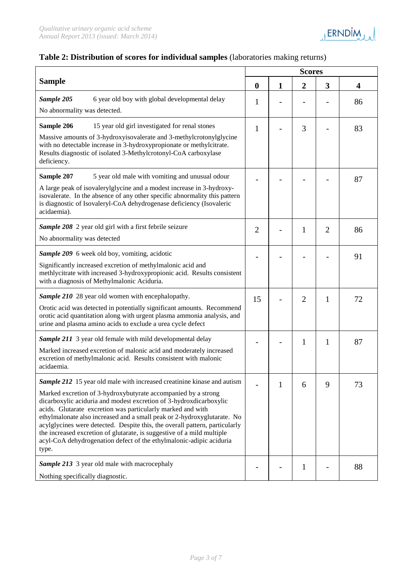

### **Table 2: Distribution of scores for individual samples** (laboratories making returns)

|                                                                                                                                                                                                                                                                                                                                                                                                                                                                                                                                                                                                          |                  | <b>Scores</b>  |                |                |                         |  |  |
|----------------------------------------------------------------------------------------------------------------------------------------------------------------------------------------------------------------------------------------------------------------------------------------------------------------------------------------------------------------------------------------------------------------------------------------------------------------------------------------------------------------------------------------------------------------------------------------------------------|------------------|----------------|----------------|----------------|-------------------------|--|--|
| <b>Sample</b>                                                                                                                                                                                                                                                                                                                                                                                                                                                                                                                                                                                            | $\boldsymbol{0}$ | 1              | $\overline{2}$ | 3              | $\overline{\mathbf{4}}$ |  |  |
| Sample 205<br>6 year old boy with global developmental delay<br>No abnormality was detected.                                                                                                                                                                                                                                                                                                                                                                                                                                                                                                             | 1                | $\overline{a}$ |                |                | 86                      |  |  |
| Sample 206<br>15 year old girl investigated for renal stones<br>Massive amounts of 3-hydroxyisovalerate and 3-methylcrotonylglycine<br>with no detectable increase in 3-hydroxypropionate or methylcitrate.<br>Results diagnostic of isolated 3-Methylcrotonyl-CoA carboxylase<br>deficiency.                                                                                                                                                                                                                                                                                                            | $\mathbf{1}$     |                | 3              |                | 83                      |  |  |
| Sample 207<br>5 year old male with vomiting and unusual odour<br>A large peak of isovalerylglycine and a modest increase in 3-hydroxy-<br>isovalerate. In the absence of any other specific abnormality this pattern<br>is diagnostic of Isovaleryl-CoA dehydrogenase deficiency (Isovaleric<br>acidaemia).                                                                                                                                                                                                                                                                                              |                  |                |                |                | 87                      |  |  |
| Sample 208 2 year old girl with a first febrile seizure<br>No abnormality was detected                                                                                                                                                                                                                                                                                                                                                                                                                                                                                                                   | $\overline{2}$   |                | 1              | $\overline{2}$ | 86                      |  |  |
| Sample 209 6 week old boy, vomiting, acidotic<br>Significantly increased excretion of methylmalonic acid and<br>methlycitrate with increased 3-hydroxypropionic acid. Results consistent<br>with a diagnosis of Methylmalonic Aciduria.                                                                                                                                                                                                                                                                                                                                                                  |                  |                |                |                | 91                      |  |  |
| Sample 210 28 year old women with encephalopathy.<br>Orotic acid was detected in potentially significant amounts. Recommend<br>orotic acid quantitation along with urgent plasma ammonia analysis, and<br>urine and plasma amino acids to exclude a urea cycle defect                                                                                                                                                                                                                                                                                                                                    | 15               |                | $\overline{2}$ | $\mathbf{1}$   | 72                      |  |  |
| <b>Sample 211</b> 3 year old female with mild developmental delay<br>Marked increased excretion of malonic acid and moderately increased<br>excretion of methylmalonic acid. Results consistent with malonic<br>acidaemia.                                                                                                                                                                                                                                                                                                                                                                               |                  |                | 1              | $\mathbf{1}$   | 87                      |  |  |
| <b>Sample 212</b> 15 year old male with increased creatinine kinase and autism<br>Marked excretion of 3-hydroxybutyrate accompanied by a strong<br>dicarboxylic aciduria and modest excretion of 3-hydroxdicarboxylic<br>acids. Glutarate excretion was particularly marked and with<br>ethylmalonate also increased and a small peak or 2-hydroxyglutarate. No<br>acylglycines were detected. Despite this, the overall pattern, particularly<br>the increased excretion of glutarate, is suggestive of a mild multiple<br>acyl-CoA dehydrogenation defect of the ethylmalonic-adipic aciduria<br>type. |                  | 1              | 6              | 9              | 73                      |  |  |
| Sample 213 3 year old male with macrocephaly<br>Nothing specifically diagnostic.                                                                                                                                                                                                                                                                                                                                                                                                                                                                                                                         |                  |                | $\mathbf{1}$   |                | 88                      |  |  |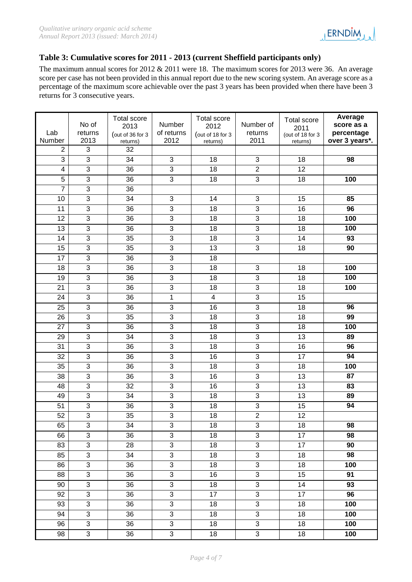

### **Table 3: Cumulative scores for 2011 - 2013 (current Sheffield participants only)**

The maximum annual scores for 2012 & 2011 were 18. The maximum scores for 2013 were 36. An average score per case has not been provided in this annual report due to the new scoring system. An average score as a percentage of the maximum score achievable over the past 3 years has been provided when there have been 3 returns for 3 consecutive years.

| Lab<br>Number           | No of<br>returns<br>2013 | <b>Total score</b><br>2013<br>(out of 36 for 3<br>returns) | Number<br>of returns<br>2012 | <b>Total score</b><br>2012<br>(out of 18 for 3<br>returns) | Number of<br>returns<br>2011 | <b>Total score</b><br>2011<br>(out of 18 for 3<br>returns) | Average<br>score as a<br>percentage<br>over 3 years*. |
|-------------------------|--------------------------|------------------------------------------------------------|------------------------------|------------------------------------------------------------|------------------------------|------------------------------------------------------------|-------------------------------------------------------|
| 2                       | 3                        | 32                                                         |                              |                                                            |                              |                                                            |                                                       |
| $\overline{3}$          | $\overline{3}$           | 34                                                         | 3                            | 18                                                         | 3                            | 18                                                         | 98                                                    |
| $\overline{\mathbf{4}}$ | $\overline{3}$           | 36                                                         | $\overline{3}$               | 18                                                         | $\overline{2}$               | 12                                                         |                                                       |
| $\overline{5}$          | $\overline{3}$           | 36                                                         | 3                            | 18                                                         | 3                            | 18                                                         | 100                                                   |
| $\overline{7}$          | 3                        | 36                                                         |                              |                                                            |                              |                                                            |                                                       |
| 10                      | $\overline{3}$           | 34                                                         | 3                            | 14                                                         | 3                            | 15                                                         | 85                                                    |
| 11                      | $\overline{3}$           | 36                                                         | $\overline{3}$               | 18                                                         | $\overline{3}$               | 16                                                         | 96                                                    |
| 12                      | 3                        | 36                                                         | 3                            | 18                                                         | 3                            | 18                                                         | 100                                                   |
| 13                      | $\overline{3}$           | 36                                                         | $\overline{3}$               | 18                                                         | 3                            | 18                                                         | 100                                                   |
| 14                      | $\overline{3}$           | 35                                                         | 3                            | 18                                                         | $\overline{3}$               | 14                                                         | 93                                                    |
| 15                      | $\overline{3}$           | 35                                                         | $\overline{3}$               | 13                                                         | 3                            | 18                                                         | 90                                                    |
| 17                      | $\overline{3}$           | 36                                                         | 3                            | 18                                                         |                              |                                                            |                                                       |
| 18                      | 3                        | 36                                                         | 3                            | 18                                                         | 3                            | 18                                                         | 100                                                   |
| 19                      | $\overline{3}$           | 36                                                         | $\mathbf{3}$                 | 18                                                         | 3                            | 18                                                         | 100                                                   |
| $\overline{21}$         | $\overline{3}$           | 36                                                         | $\overline{3}$               | 18                                                         | $\overline{3}$               | 18                                                         | 100                                                   |
| 24                      | 3                        | 36                                                         | $\mathbf{1}$                 | $\overline{\mathbf{4}}$                                    | 3                            | 15                                                         |                                                       |
| 25                      | 3                        | 36                                                         | $\mathbf{3}$                 | 16                                                         | 3                            | 18                                                         | 96                                                    |
| 26                      | $\overline{3}$           | 35                                                         | 3                            | 18                                                         | 3                            | 18                                                         | 99                                                    |
| 27                      | $\overline{3}$           | 36                                                         | $\overline{3}$               | 18                                                         | 3                            | 18                                                         | 100                                                   |
| 29                      | $\overline{3}$           | 34                                                         | 3                            | 18                                                         | $\overline{3}$               | 13                                                         | 89                                                    |
| 31                      | $\overline{3}$           | 36                                                         | $\overline{3}$               | 18                                                         | $\overline{3}$               | 16                                                         | 96                                                    |
| 32                      | 3                        | 36                                                         | 3                            | 16                                                         | 3                            | 17                                                         | 94                                                    |
| 35                      | $\overline{3}$           | 36                                                         | $\overline{3}$               | 18                                                         | $\overline{3}$               | 18                                                         | 100                                                   |
| 38                      | 3                        | 36                                                         | 3                            | 16                                                         | 3                            | 13                                                         | 87                                                    |
| 48                      | $\overline{3}$           | 32                                                         | $\overline{3}$               | 16                                                         | 3                            | 13                                                         | 83                                                    |
| 49                      | $\overline{3}$           | 34                                                         | $\overline{3}$               | 18                                                         | 3                            | 13                                                         | 89                                                    |
| 51                      | $\overline{3}$           | 36                                                         | $\overline{3}$               | $\overline{18}$                                            | $\overline{3}$               | 15                                                         | 94                                                    |
| 52                      | $\overline{3}$           | 35                                                         | 3                            | 18                                                         | $\overline{2}$               | 12                                                         |                                                       |
| 65                      | 3                        | 34                                                         | 3                            | 18                                                         | 3                            | 18                                                         | 98                                                    |
| 66                      | $\overline{3}$           | 36                                                         | $\overline{3}$               | 18                                                         | $\overline{3}$               | $\overline{17}$                                            | 98                                                    |
| 83                      | $\overline{3}$           | 28                                                         | $\overline{3}$               | 18                                                         | $\overline{3}$               | 17                                                         | 90                                                    |
| 85                      | 3                        | 34                                                         | $\overline{3}$               | 18                                                         | 3                            | 18                                                         | 98                                                    |
| 86                      | $\overline{3}$           | 36                                                         | $\overline{3}$               | 18                                                         | $\overline{3}$               | 18                                                         | 100                                                   |
| 88                      | $\overline{3}$           | 36                                                         | $\overline{3}$               | 16                                                         | 3                            | 15                                                         | 91                                                    |
| 90                      | $\overline{3}$           | 36                                                         | $\overline{3}$               | 18                                                         | 3                            | 14                                                         | $\overline{93}$                                       |
| 92                      | $\overline{3}$           | 36                                                         | 3                            | 17                                                         | $\overline{3}$               | 17                                                         | 96                                                    |
| 93                      | $\overline{3}$           | 36                                                         | $\overline{3}$               | 18                                                         | $\overline{3}$               | 18                                                         | 100                                                   |
| 94                      | $\overline{3}$           | 36                                                         | $\overline{3}$               | 18                                                         | $\overline{3}$               | 18                                                         | 100                                                   |
| 96                      | $\overline{3}$           | 36                                                         | $\mathfrak{S}$               | 18                                                         | $\overline{3}$               | 18                                                         | 100                                                   |
| 98                      | 3                        | 36                                                         | 3                            | 18                                                         | 3                            | 18                                                         | 100                                                   |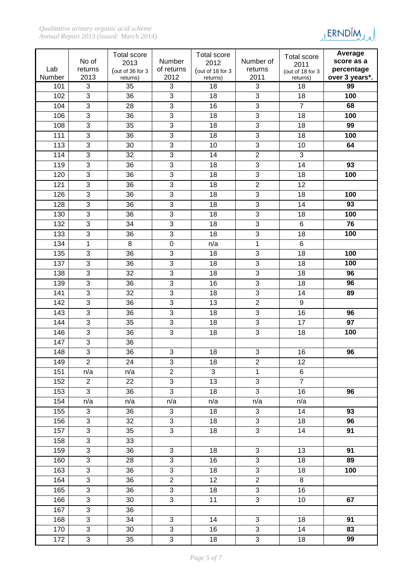

|               |                                  | Total score      |                                             | Total score           |                                  | <b>Total score</b> | Average                      |
|---------------|----------------------------------|------------------|---------------------------------------------|-----------------------|----------------------------------|--------------------|------------------------------|
|               | No of                            | 2013             | Number                                      | 2012                  | Number of                        | 2011               | score as a                   |
| Lab<br>Number | returns<br>2013                  | (out of 36 for 3 | of returns<br>2012                          | (out of 18 for 3      | returns<br>2011                  | (out of 18 for 3   | percentage<br>over 3 years*. |
| 101           | 3                                | returns)<br>35   | 3                                           | returns)<br>18        | 3                                | returns)<br>18     | 99                           |
| 102           | $\overline{3}$                   | 36               | $\overline{3}$                              | 18                    | $\overline{3}$                   | 18                 | 100                          |
| 104           | $\overline{3}$                   | 28               | 3                                           | 16                    | 3                                | $\overline{7}$     | 68                           |
| 106           | 3                                | 36               | 3                                           | 18                    | 3                                | 18                 | 100                          |
| 108           | $\overline{3}$                   | 35               | 3                                           | 18                    | $\overline{3}$                   | 18                 | 99                           |
| 111           | $\overline{3}$                   | 36               | $\overline{3}$                              | 18                    | $\overline{3}$                   | 18                 | 100                          |
| 113           | $\overline{3}$                   | 30               | 3                                           | 10                    | $\overline{3}$                   | 10                 | 64                           |
| 114           | $\overline{3}$                   | 32               | $\overline{3}$                              | 14                    | $\overline{2}$                   | 3                  |                              |
| 119           | 3                                | 36               | 3                                           | 18                    | 3                                | 14                 | 93                           |
| 120           | $\overline{3}$                   | 36               | $\overline{3}$                              | 18                    | $\overline{3}$                   | 18                 | 100                          |
| 121           | $\overline{3}$                   | 36               | 3                                           | 18                    | $\overline{2}$                   | 12                 |                              |
| 126           | $\overline{3}$                   | 36               | $\overline{3}$                              | 18                    | $\overline{3}$                   | 18                 | 100                          |
| 128           | $\overline{3}$                   | 36               | 3                                           | 18                    | $\overline{3}$                   | 14                 | 93                           |
| 130           | $\overline{3}$                   | 36               | $\overline{3}$                              | 18                    | $\mathbf{3}$                     | 18                 | 100                          |
| 132           | $\overline{3}$                   | 34               | 3                                           | 18                    | $\overline{3}$                   | $\,6$              | 76                           |
| 133           | 3                                | 36               | 3                                           | 18                    | $\overline{3}$                   | 18                 | 100                          |
| 134           | 1                                | 8                | $\boldsymbol{0}$                            | n/a                   | $\mathbf 1$                      | $\overline{6}$     |                              |
| 135           | 3                                | 36               | 3                                           | 18                    | $\mathbf{3}$                     | 18                 | 100                          |
| 137           | 3                                | 36               | 3                                           | 18                    | 3                                | 18                 | 100                          |
| 138           | $\overline{3}$                   | 32               | $\overline{3}$                              | 18                    | $\overline{3}$                   | 18                 | 96                           |
| 139           | $\overline{3}$                   | 36               | 3                                           | 16                    | $\overline{3}$                   | 18                 | 96                           |
| 141           | $\overline{3}$                   | 32               | $\overline{3}$                              | 18                    | $\overline{3}$                   | 14                 | 89                           |
| 142           | $\overline{3}$                   | 36               | 3                                           | 13                    | $\overline{c}$                   | 9                  |                              |
| 143           | $\overline{3}$                   | 36               | $\overline{3}$                              | 18                    | 3                                | 16                 | 96                           |
| 144           | $\overline{3}$                   | 35               | $\overline{3}$                              | 18                    | 3                                | 17                 | 97                           |
| 146           | $\overline{3}$                   | 36               | $\overline{3}$                              | 18                    | $\overline{3}$                   | 18                 | 100                          |
| 147           | 3                                | 36               |                                             |                       |                                  |                    |                              |
| 148           | $\overline{3}$                   | 36               | 3                                           | 18                    | 3                                | 16                 | 96                           |
| 149           | $\overline{2}$                   | 24               | 3                                           | 18                    | $\overline{2}$                   | 12                 |                              |
| 151           | n/a                              | n/a              | $\overline{2}$                              | $\overline{3}$        | $\mathbf{1}$                     | $\overline{6}$     |                              |
| 152           | $\overline{2}$                   | 22               | $\overline{3}$                              | $\overline{13}$       | $\overline{3}$                   | $\overline{7}$     |                              |
| 153           | $\overline{3}$                   | 36               | $\overline{3}$                              | 18                    | $\overline{3}$                   | 16                 | 96                           |
| 154           | n/a                              | n/a              | n/a                                         | n/a                   | n/a                              | n/a                |                              |
| 155           | 3                                | 36               | $\ensuremath{\mathsf{3}}$                   | 18                    | $\mathbf{3}$                     | 14                 | 93                           |
| 156           | $\overline{3}$                   | 32               | $\overline{3}$                              | 18                    | $\overline{3}$                   | 18                 | 96                           |
| 157           | $\overline{3}$                   | $\overline{35}$  | $\overline{3}$                              | 18                    | $\overline{3}$                   | 14                 | 91                           |
| 158           | $\overline{3}$                   | 33               |                                             |                       |                                  |                    |                              |
| 159           | 3                                | 36               | 3                                           | 18                    | 3                                | 13                 | 91                           |
| 160           | $\overline{3}$<br>$\overline{3}$ | 28               | $\overline{3}$<br>$\overline{3}$            | 16                    | $\overline{3}$<br>$\overline{3}$ | 18                 | 89                           |
| 163           |                                  | 36<br>36         |                                             | 18<br>12              |                                  | 18<br>8            | 100                          |
| 164           | 3<br>3                           |                  | $\overline{2}$                              |                       | $\overline{2}$                   |                    |                              |
| 165<br>166    | $\overline{3}$                   | 36<br>30         | $\ensuremath{\mathsf{3}}$<br>$\overline{3}$ | 18<br>$\overline{11}$ | 3<br>$\overline{3}$              | 16<br>10           | 67                           |
| 167           | $\overline{3}$                   | 36               |                                             |                       |                                  |                    |                              |
|               | 3                                |                  |                                             |                       |                                  |                    | 91                           |
| 168           |                                  | 34               | 3<br>$\overline{3}$                         | 14                    | 3                                | 18                 | 83                           |
| 170           | 3<br>$\overline{3}$              | 30               | $\overline{3}$                              | 16                    | $\sqrt{3}$<br>$\overline{3}$     | 14                 |                              |
| 172           |                                  | 35               |                                             | 18                    |                                  | 18                 | 99                           |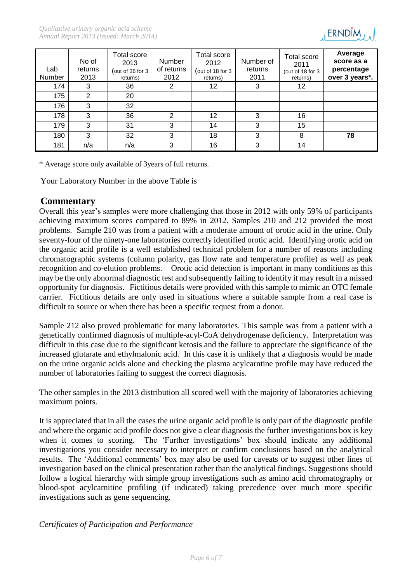

| Lab<br>Number | No of<br>returns<br>2013 | Total score<br>2013<br>out of 36 for 3<br>returns) | Number<br>of returns<br>2012 | Total score<br>2012<br>(out of 18 for $3$<br>returns) | Number of<br>returns<br>2011 | Total score<br>2011<br>(out of 18 for 3<br>returns) | Average<br>score as a<br>percentage<br>over 3 years*. |
|---------------|--------------------------|----------------------------------------------------|------------------------------|-------------------------------------------------------|------------------------------|-----------------------------------------------------|-------------------------------------------------------|
| 174           | 3                        | 36                                                 | 2                            | 12                                                    | 3                            | 12                                                  |                                                       |
| 175           | 2                        | 20                                                 |                              |                                                       |                              |                                                     |                                                       |
| 176           | 3                        | 32                                                 |                              |                                                       |                              |                                                     |                                                       |
| 178           | 3                        | 36                                                 | 2                            | 12                                                    | 3                            | 16                                                  |                                                       |
| 179           | 3                        | 31                                                 | 3                            | 14                                                    | 3                            | 15                                                  |                                                       |
| 180           | 3                        | 32                                                 | 3                            | 18                                                    | 3                            | 8                                                   | 78                                                    |
| 181           | n/a                      | n/a                                                | 3                            | 16                                                    | 3                            | 14                                                  |                                                       |

\* Average score only available of 3years of full returns.

Your Laboratory Number in the above Table is

### **Commentary**

Overall this year's samples were more challenging that those in 2012 with only 59% of participants achieving maximum scores compared to 89% in 2012. Samples 210 and 212 provided the most problems. Sample 210 was from a patient with a moderate amount of orotic acid in the urine. Only seventy-four of the ninety-one laboratories correctly identified orotic acid. Identifying orotic acid on the organic acid profile is a well established technical problem for a number of reasons including chromatographic systems (column polarity, gas flow rate and temperature profile) as well as peak recognition and co-elution problems. Orotic acid detection is important in many conditions as this may be the only abnormal diagnostic test and subsequently failing to identify it may result in a missed opportunity for diagnosis. Fictitious details were provided with this sample to mimic an OTC female carrier. Fictitious details are only used in situations where a suitable sample from a real case is difficult to source or when there has been a specific request from a donor.

Sample 212 also proved problematic for many laboratories. This sample was from a patient with a genetically confirmed diagnosis of multiple-acyl-CoA dehydrogenase deficiency. Interpretation was difficult in this case due to the significant ketosis and the failure to appreciate the significance of the increased glutarate and ethylmalonic acid. In this case it is unlikely that a diagnosis would be made on the urine organic acids alone and checking the plasma acylcarntine profile may have reduced the number of laboratories failing to suggest the correct diagnosis.

The other samples in the 2013 distribution all scored well with the majority of laboratories achieving maximum points.

It is appreciated that in all the cases the urine organic acid profile is only part of the diagnostic profile and where the organic acid profile does not give a clear diagnosis the further investigations box is key when it comes to scoring. The 'Further investigations' box should indicate any additional investigations you consider necessary to interpret or confirm conclusions based on the analytical results. The 'Additional comments' box may also be used for caveats or to suggest other lines of investigation based on the clinical presentation rather than the analytical findings. Suggestions should follow a logical hierarchy with simple group investigations such as amino acid chromatography or blood-spot acylcarnitine profiling (if indicated) taking precedence over much more specific investigations such as gene sequencing.

*Certificates of Participation and Performance*